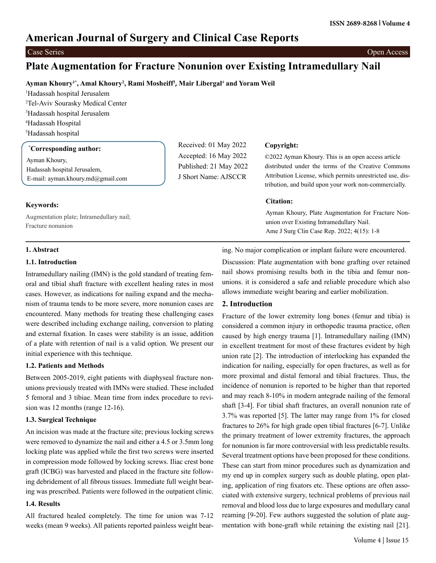# **American Journal of Surgery and Clinical Case Reports**

Case Series Open Access

# **Plate Augmentation for Fracture Nonunion over Existing Intramedullary Nail**

# **Ayman Khoury1\*, Amal Khoury2 , Rami Mosheiff3 , Mair Libergal**<sup>4</sup>  **and Yoram Weil**

 Hadassah hospital Jerusalem Tel-Aviv Sourasky Medical Center Hadassah hospital Jerusalem Hadassah Hospital Hadassah hospital

## **\* Corresponding author:**

Ayman Khoury, Hadassah hospital Jerusalem, E-mail: ayman.khoury.md@gmail.com

**Keywords:**

Augmentation plate; Intramedullary nail; Fracture nonunion

# Received: 01 May 2022 Accepted: 16 May 2022 Published: 21 May 2022 J Short Name: AJSCCR

## **Copyright:**

©2022 Ayman Khoury. This is an open access article distributed under the terms of the Creative Commons Attribution License, which permits unrestricted use, distribution, and build upon your work non-commercially.

#### **Citation:**

Ayman Khoury, Plate Augmentation for Fracture Nonunion over Existing Intramedullary Nail. Ame J Surg Clin Case Rep. 2022; 4(15): 1-8

#### **1. Abstract**

#### **1.1. Introduction**

Intramedullary nailing (IMN) is the gold standard of treating femoral and tibial shaft fracture with excellent healing rates in most cases. However, as indications for nailing expand and the mechanism of trauma tends to be more severe, more nonunion cases are encountered. Many methods for treating these challenging cases were described including exchange nailing, conversion to plating and external fixation. In cases were stability is an issue, addition of a plate with retention of nail is a valid option. We present our initial experience with this technique.

#### **1.2. Patients and Methods**

Between 2005-2019, eight patients with diaphyseal fracture nonunions previously treated with IMNs were studied. These included 5 femoral and 3 tibiae. Mean time from index procedure to revision was 12 months (range 12-16).

#### **1.3. Surgical Technique**

An incision was made at the fracture site; previous locking screws were removed to dynamize the nail and either a 4.5 or 3.5mm long locking plate was applied while the first two screws were inserted in compression mode followed by locking screws. Iliac crest bone graft (ICBG) was harvested and placed in the fracture site following debridement of all fibrous tissues. Immediate full weight bearing was prescribed. Patients were followed in the outpatient clinic.

#### **1.4. Results**

All fractured healed completely. The time for union was 7-12 weeks (mean 9 weeks). All patients reported painless weight bearing. No major complication or implant failure were encountered.

Discussion: Plate augmentation with bone grafting over retained nail shows promising results both in the tibia and femur nonunions. it is considered a safe and reliable procedure which also allows immediate weight bearing and earlier mobilization.

#### **2. Introduction**

Fracture of the lower extremity long bones (femur and tibia) is considered a common injury in orthopedic trauma practice, often caused by high energy trauma [1]. Intramedullary nailing (IMN) in excellent treatment for most of these fractures evident by high union rate [2]. The introduction of interlocking has expanded the indication for nailing, especially for open fractures, as well as for more proximal and distal femoral and tibial fractures. Thus, the incidence of nonunion is reported to be higher than that reported and may reach 8-10% in modern antegrade nailing of the femoral shaft [3-4]. For tibial shaft fractures, an overall nonunion rate of 3.7% was reported [5]. The latter may range from 1% for closed fractures to 26% for high grade open tibial fractures [6-7]. Unlike the primary treatment of lower extremity fractures, the approach for nonunion is far more controversial with less predictable results. Several treatment options have been proposed for these conditions. These can start from minor procedures such as dynamization and my end up in complex surgery such as double plating, open plating, application of ring fixators etc. These options are often associated with extensive surgery, technical problems of previous nail removal and blood loss due to large exposures and medullary canal reaming [9-20]. Few authors suggested the solution of plate augmentation with bone-graft while retaining the existing nail [21].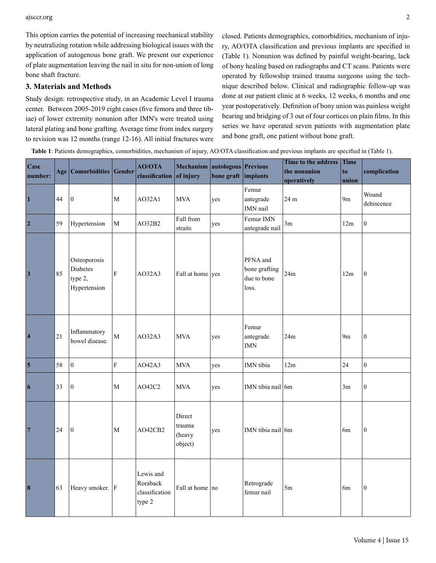ajsccr.org 2

This option carries the potential of increasing mechanical stability by neutralizing rotation while addressing biological issues with the application of autogenous bone graft. We present our experience of plate augmentation leaving the nail in situ for non-union of long bone shaft fracture.

### **3. Materials and Methods**

Study design: retrospective study, in an Academic Level I trauma center. Between 2005-2019 eight cases (five femora and three tibiae) of lower extremity nonunion after IMN's were treated using lateral plating and bone grafting. Average time from index surgery to revision was 12 months (range 12-16). All initial fractures were closed. Patients demographics, comorbidities, mechanism of injury, AO/OTA classification and previous implants are specified in (Table 1). Nonunion was defined by painful weight-bearing, lack of bony healing based on radiographs and CT scans. Patients were operated by fellowship trained trauma surgeons using the technique described below. Clinical and radiographic follow-up was done at our patient clinic at 6 weeks, 12 weeks, 6 months and one year postoperatively. Definition of bony union was painless weight bearing and bridging of 3 out of four cortices on plain films. In this series we have operated seven patients with augmentation plate and bone graft, one patient without bone graft.

**Table 1**: Patients demographics, comorbidities, mechanism of injury, AO/OTA classification and previous implants are specified in (Table 1).

| Case<br>number:         |    | Age   Comorbidities   Gender                        |                         | <b>AO/OTA</b><br>classification of injury         | Mechanism autologous Previous         | bone graft implants |                                                   | Time to the address<br><b>Time</b><br>the nonunion<br>to |                |                     |
|-------------------------|----|-----------------------------------------------------|-------------------------|---------------------------------------------------|---------------------------------------|---------------------|---------------------------------------------------|----------------------------------------------------------|----------------|---------------------|
|                         |    |                                                     |                         |                                                   |                                       |                     |                                                   | operatively                                              | union          | complication        |
| $\overline{\mathbf{1}}$ | 44 | $\boldsymbol{0}$                                    | $\mathbf M$             | A032A1                                            | <b>MVA</b>                            | yes                 | Femur<br>antegrade<br>IMN nail                    | 24 m                                                     | 9 <sub>m</sub> | Wound<br>dehiscence |
| $\overline{2}$          | 59 | Hypertension                                        | M                       | AO32B2                                            | Fall from<br>straits                  | yes                 | Femur IMN<br>antegrade nail                       | 3m                                                       | 12m            | $\boldsymbol{0}$    |
| $\overline{\mathbf{3}}$ | 85 | Osteoporosis<br>Diabetes<br>type 2,<br>Hypertension | $\overline{F}$          | AO32A3                                            | Fall at home yes                      |                     | PFNA and<br>bone grafting<br>due to bone<br>loss. | 24m                                                      | 12m            | $\boldsymbol{0}$    |
| $\vert 4$               | 21 | Inflammatory<br>bowel disease.                      | $\overline{M}$          | AO32A3                                            | <b>MVA</b>                            | yes                 | Femur<br>antegrade<br><b>IMN</b>                  | 24m                                                      | 9 <sub>m</sub> | $\boldsymbol{0}$    |
| $\vert$ 5               | 58 | $\vert 0 \vert$                                     | $\overline{\mathrm{F}}$ | AO42A3                                            | <b>MVA</b>                            | yes                 | IMN tibia                                         | 12m                                                      | 24             | $\boldsymbol{0}$    |
| $\vert 6 \vert$         | 33 | $\boldsymbol{0}$                                    | M                       | AO42C2                                            | <b>MVA</b>                            | yes                 | IMN tibia nail 6m                                 |                                                          | 3m             | $\boldsymbol{0}$    |
| $\boxed{7}$             | 24 | $\vert 0 \vert$                                     | $\mathbf M$             | AO42CB2                                           | Direct<br>trauma<br>(heavy<br>object) | yes                 | IMN tibia nail $6m$                               |                                                          | 6m             | $\boldsymbol{0}$    |
| $\vert 8$               | 63 | Heavy smoker.   F                                   |                         | Lewis and<br>Roraback<br>classification<br>type 2 | Fall at home no                       |                     | Retrograde<br>femur nail                          | 5m                                                       | 6m             | $\vert 0 \vert$     |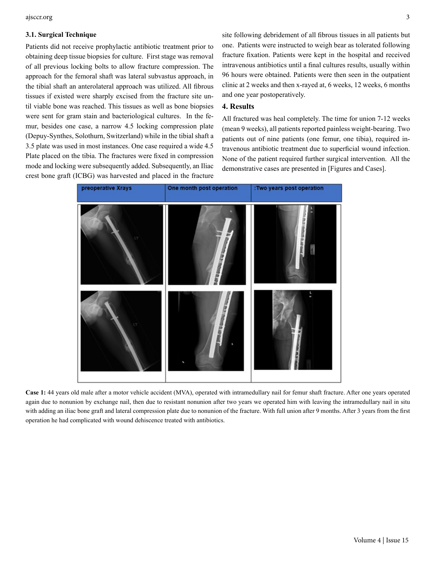ajsccr.org 3

#### **3.1. Surgical Technique**

Patients did not receive prophylactic antibiotic treatment prior to obtaining deep tissue biopsies for culture. First stage was removal of all previous locking bolts to allow fracture compression. The approach for the femoral shaft was lateral subvastus approach, in the tibial shaft an anterolateral approach was utilized. All fibrous tissues if existed were sharply excised from the fracture site until viable bone was reached. This tissues as well as bone biopsies were sent for gram stain and bacteriological cultures. In the femur, besides one case, a narrow 4.5 locking compression plate (Depuy-Synthes, Solothurn, Switzerland) while in the tibial shaft a 3.5 plate was used in most instances. One case required a wide 4.5 Plate placed on the tibia. The fractures were fixed in compression mode and locking were subsequently added. Subsequently, an Iliac crest bone graft (ICBG) was harvested and placed in the fracture

site following debridement of all fibrous tissues in all patients but one. Patients were instructed to weigh bear as tolerated following fracture fixation. Patients were kept in the hospital and received intravenous antibiotics until a final cultures results, usually within 96 hours were obtained. Patients were then seen in the outpatient clinic at 2 weeks and then x-rayed at, 6 weeks, 12 weeks, 6 months and one year postoperatively.

#### **4. Results**

All fractured was heal completely. The time for union 7-12 weeks (mean 9 weeks), all patients reported painless weight-bearing. Two patients out of nine patients (one femur, one tibia), required intravenous antibiotic treatment due to superficial wound infection. None of the patient required further surgical intervention. All the demonstrative cases are presented in [Figures and Cases].



**Case 1:** 44 years old male after a motor vehicle accident (MVA), operated with intramedullary nail for femur shaft fracture. After one years operated again due to nonunion by exchange nail, then due to resistant nonunion after two years we operated him with leaving the intramedullary nail in situ with adding an iliac bone graft and lateral compression plate due to nonunion of the fracture. With full union after 9 months. After 3 years from the first operation he had complicated with wound dehiscence treated with antibiotics.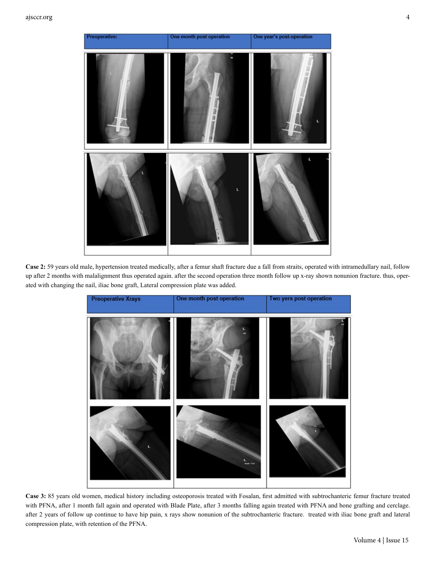

**Case 2:** 59 years old male, hypertension treated medically, after a femur shaft fracture due a fall from straits, operated with intramedullary nail, follow up after 2 months with malalignment thus operated again. after the second operation three month follow up x-ray shown nonunion fracture. thus, operated with changing the nail, iliac bone graft, Lateral compression plate was added.



**Case 3:** 85 years old women, medical history including osteoporosis treated with Fosalan, first admitted with subtrochanteric femur fracture treated with PFNA, after 1 month fall again and operated with Blade Plate, after 3 months falling again treated with PFNA and bone grafting and cerclage. after 2 years of follow up continue to have hip pain, x rays show nonunion of the subtrochanteric fracture. treated with iliac bone graft and lateral compression plate, with retention of the PFNA.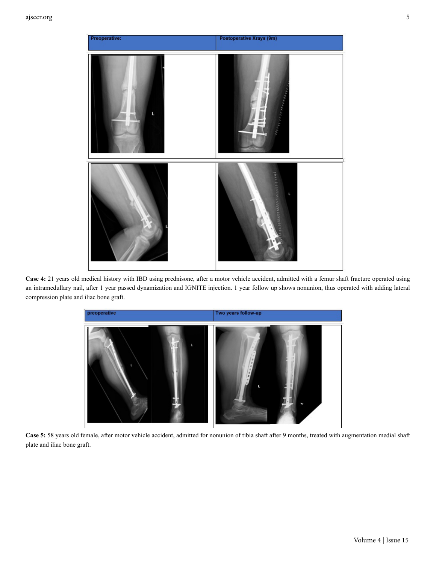

**Case 4:** 21 years old medical history with IBD using prednisone, after a motor vehicle accident, admitted with a femur shaft fracture operated using an intramedullary nail, after 1 year passed dynamization and IGNITE injection. 1 year follow up shows nonunion, thus operated with adding lateral compression plate and iliac bone graft.



**Case 5:** 58 years old female, after motor vehicle accident, admitted for nonunion of tibia shaft after 9 months, treated with augmentation medial shaft plate and iliac bone graft.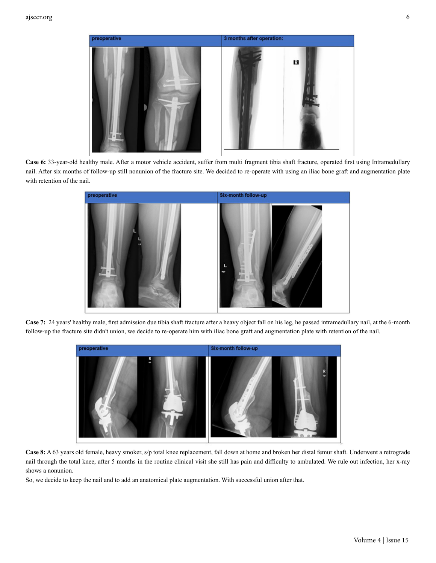

**Case 6:** 33-year-old healthy male. After a motor vehicle accident, suffer from multi fragment tibia shaft fracture, operated first using Intramedullary nail. After six months of follow-up still nonunion of the fracture site. We decided to re-operate with using an iliac bone graft and augmentation plate with retention of the nail.



**Case 7:** 24 years' healthy male, first admission due tibia shaft fracture after a heavy object fall on his leg, he passed intramedullary nail, at the 6-month follow-up the fracture site didn't union, we decide to re-operate him with iliac bone graft and augmentation plate with retention of the nail.



**Case 8:** A 63 years old female, heavy smoker, s/p total knee replacement, fall down at home and broken her distal femur shaft. Underwent a retrograde nail through the total knee, after 5 months in the routine clinical visit she still has pain and difficulty to ambulated. We rule out infection, her x-ray shows a nonunion.

So, we decide to keep the nail and to add an anatomical plate augmentation. With successful union after that.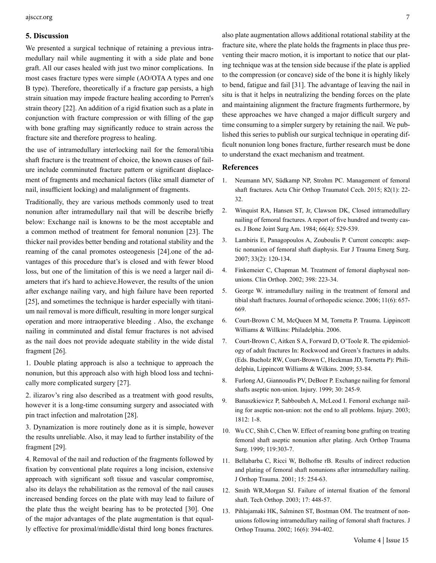#### **5. Discussion**

We presented a surgical technique of retaining a previous intramedullary nail while augmenting it with a side plate and bone graft. All our cases healed with just two minor complications. In most cases fracture types were simple (AO/OTA A types and one B type). Therefore, theoretically if a fracture gap persists, a high strain situation may impede fracture healing according to Perren's strain theory [22]. An addition of a rigid fixation such as a plate in conjunction with fracture compression or with filling of the gap with bone grafting may significantly reduce to strain across the fracture site and therefore progress to healing.

the use of intramedullary interlocking nail for the femoral/tibia shaft fracture is the treatment of choice, the known causes of failure include comminuted fracture pattern or significant displacement of fragments and mechanical factors (like small diameter of nail, insufficient locking) and malalignment of fragments.

Traditionally, they are various methods commonly used to treat nonunion after intramedullary nail that will be describe briefly below: Exchange nail is knowns to be the most acceptable and a common method of treatment for femoral nonunion [23]. The thicker nail provides better bending and rotational stability and the reaming of the canal promotes osteogenesis [24].one of the advantages of this procedure that's is closed and with fewer blood loss, but one of the limitation of this is we need a larger nail diameters that it's hard to achieve.However, the results of the union after exchange nailing vary, and high failure have been reported [25], and sometimes the technique is harder especially with titanium nail removal is more difficult, resulting in more longer surgical operation and more intraoperative bleeding . Also, the exchange nailing in comminuted and distal femur fractures is not advised as the nail does not provide adequate stability in the wide distal fragment [26].

1. Double plating approach is also a technique to approach the nonunion, but this approach also with high blood loss and technically more complicated surgery [27].

2. ilizarov's ring also described as a treatment with good results, however it is a long-time consuming surgery and associated with pin tract infection and malrotation [28].

3. Dynamization is more routinely done as it is simple, however the results unreliable. Also, it may lead to further instability of the fragment [29].

4. Removal of the nail and reduction of the fragments followed by fixation by conventional plate requires a long incision, extensive approach with significant soft tissue and vascular compromise, also its delays the rehabilitation as the removal of the nail causes increased bending forces on the plate with may lead to failure of the plate thus the weight bearing has to be protected [30]. One of the major advantages of the plate augmentation is that equally effective for proximal/middle/distal third long bones fractures.

also plate augmentation allows additional rotational stability at the fracture site, where the plate holds the fragments in place thus preventing their macro motion, it is important to notice that our plating technique was at the tension side because if the plate is applied to the compression (or concave) side of the bone it is highly likely to bend, fatigue and fail [31]. The advantage of leaving the nail in situ is that it helps in neutralizing the bending forces on the plate and maintaining alignment the fracture fragments furthermore, by these approaches we have changed a major difficult surgery and time consuming to a simpler surgery by retaining the nail. We published this series to publish our surgical technique in operating difficult nonunion long bones fracture, further research must be done to understand the exact mechanism and treatment.

#### **References**

- 1. [Neumann MV, Südkamp NP, Strohm PC. Management of femoral](https://pubmed.ncbi.nlm.nih.gov/25748658/) [shaft fractures. Acta Chir Orthop Traumatol Cech. 2015; 82\(1\): 22-](https://pubmed.ncbi.nlm.nih.gov/25748658/) [32.](https://pubmed.ncbi.nlm.nih.gov/25748658/)
- 2. [Winquist RA, Hansen ST, Jr, Clawson DK, Closed intramedullary](https://pubmed.ncbi.nlm.nih.gov/6707031/) [nailing of femoral fractures. A report of five hundred and twenty cas](https://pubmed.ncbi.nlm.nih.gov/6707031/)[es. J Bone Joint Surg Am. 1984; 66\(4\): 529-539.](https://pubmed.ncbi.nlm.nih.gov/6707031/)
- 3. [Lambiris E, Panagopoulos A, Zouboulis P. Current concepts: asep](https://pubmed.ncbi.nlm.nih.gov/26816142/)[tic nonunion of femoral shaft diaphysis. Eur J Trauma Emerg Surg.](https://pubmed.ncbi.nlm.nih.gov/26816142/)  [2007; 33\(2\): 120-134.](https://pubmed.ncbi.nlm.nih.gov/26816142/)
- 4. [Finkemeier C, Chapman M. Treatment of femoral diaphyseal non](https://pubmed.ncbi.nlm.nih.gov/11964654/)[unions. Clin Orthop. 2002; 398: 223-34.](https://pubmed.ncbi.nlm.nih.gov/11964654/)
- 5. [George W. intramedullary nailing in the treatment of femoral and](https://www.ncbi.nlm.nih.gov/pmc/articles/PMC2780677/) [tibial shaft fractures. Journal of orthopedic science. 2006; 11\(6\): 657-](https://www.ncbi.nlm.nih.gov/pmc/articles/PMC2780677/) [669.](https://www.ncbi.nlm.nih.gov/pmc/articles/PMC2780677/)
- 6. [Court-Brown C M, McQueen M M, Tornetta P. Trauma. Lippincott](https://www.ncbi.nlm.nih.gov/nlmcatalog/101258565)  [Williams & Willkins: Philadelphia. 2006.](https://www.ncbi.nlm.nih.gov/nlmcatalog/101258565)
- 7. [Court-Brown C, Aitken S A, Forward D, O'Toole R. The epidemiol](https://www.ncbi.nlm.nih.gov/pmc/articles/PMC5499337/)[ogy of adult fractures In: Rockwood and Green's fractures in adults.](https://www.ncbi.nlm.nih.gov/pmc/articles/PMC5499337/) [\(Eds. Bucholz RW, Court-Brown C, Heckman JD, Tornetta P\): Phili](https://www.ncbi.nlm.nih.gov/pmc/articles/PMC5499337/)[delphia, Lippincott Williams & Wilkins. 2009; 53-84.](https://www.ncbi.nlm.nih.gov/pmc/articles/PMC5499337/)
- 8. [Furlong AJ, Giannoudis PV, DeBoer P. Exchange nailing for femoral](https://pubmed.ncbi.nlm.nih.gov/10476292/) [shafts aseptic non-union. Injury. 1999; 30: 245-9.](https://pubmed.ncbi.nlm.nih.gov/10476292/)
- 9. [Banaszkiewicz P, Sabboubeh A, McLeod I. Femoral exchange nail](https://pubmed.ncbi.nlm.nih.gov/12719163/)[ing for aseptic non-union: not the end to all problems. Injury. 2003;](https://pubmed.ncbi.nlm.nih.gov/12719163/) [1812: 1-8.](https://pubmed.ncbi.nlm.nih.gov/12719163/)
- 10. [Wu CC, Shih C, Chen W. Effect of reaming bone grafting on treating](https://pubmed.ncbi.nlm.nih.gov/10447628/) [femoral shaft aseptic nonunion after plating. Arch Orthop Trauma](https://pubmed.ncbi.nlm.nih.gov/10447628/) [Surg. 1999; 119:303-7.](https://pubmed.ncbi.nlm.nih.gov/10447628/)
- 11. [Bellabarba C, Ricci W, Bolhofne rB. Results of indirect reduction](https://pubmed.ncbi.nlm.nih.gov/11371790/) [and plating of femoral shaft nonunions after intramedullary nailing.](https://pubmed.ncbi.nlm.nih.gov/11371790/) [J Orthop Trauma. 2001; 15: 254-63.](https://pubmed.ncbi.nlm.nih.gov/11371790/)
- 12. [Smith WR,Morgan SJ. Failure of internal fixation of the femoral](https://pubmed.ncbi.nlm.nih.gov/16455028/) [shaft. Tech Orthop. 2003; 17: 448-57.](https://pubmed.ncbi.nlm.nih.gov/16455028/)
- 13. [Pihlajamaki HK, Salminen ST, Bostman OM. The treatment of non](https://pubmed.ncbi.nlm.nih.gov/12142827/)[unions following intramedullary nailing of femoral shaft fractures. J](https://pubmed.ncbi.nlm.nih.gov/12142827/)  [Orthop Trauma. 2002; 16\(6\): 394-402.](https://pubmed.ncbi.nlm.nih.gov/12142827/)